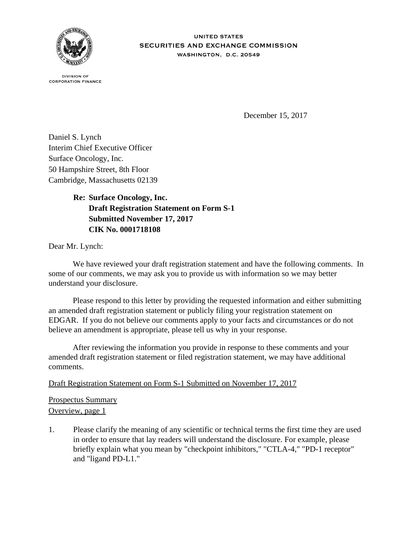

**IINITED STATES** SECURITIES AND EXCHANGE COMMISSION WASHINGTON, D.C. 20549

**DIVISION OF CORPORATION FINANCE** 

December 15, 2017

Daniel S. Lynch Interim Chief Executive Officer Surface Oncology, Inc. 50 Hampshire Street, 8th Floor Cambridge, Massachusetts 02139

> **Re: Surface Oncology, Inc. Draft Registration Statement on Form S-1 Submitted November 17, 2017 CIK No. 0001718108**

Dear Mr. Lynch:

We have reviewed your draft registration statement and have the following comments. In some of our comments, we may ask you to provide us with information so we may better understand your disclosure.

 Please respond to this letter by providing the requested information and either submitting an amended draft registration statement or publicly filing your registration statement on EDGAR. If you do not believe our comments apply to your facts and circumstances or do not believe an amendment is appropriate, please tell us why in your response.

 After reviewing the information you provide in response to these comments and your amended draft registration statement or filed registration statement, we may have additional comments.

Draft Registration Statement on Form S-1 Submitted on November 17, 2017

Prospectus Summary Overview, page 1

1. Please clarify the meaning of any scientific or technical terms the first time they are used in order to ensure that lay readers will understand the disclosure. For example, please briefly explain what you mean by "checkpoint inhibitors," "CTLA-4," "PD-1 receptor" and "ligand PD-L1."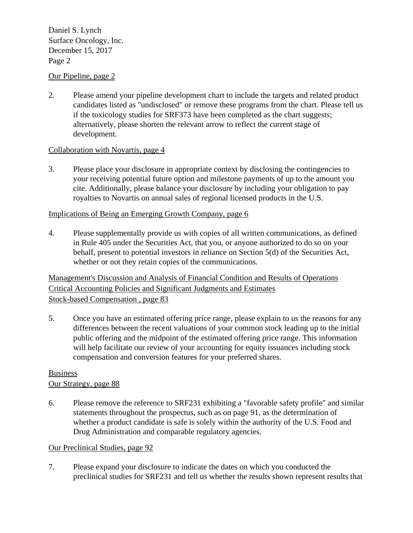# $S$ unch  $\Sigma$ ,  $\Sigma$ ,  $\Sigma$ ,  $\Sigma$ ,  $\Sigma$ ,  $\Sigma$ ,  $\Sigma$ ,  $\Sigma$ ,  $\Sigma$ ,  $\Sigma$ ,  $\Sigma$ ,  $\Sigma$ ,  $\Sigma$ ,  $\Sigma$ ,  $\Sigma$ ,  $\Sigma$ ,  $\Sigma$ ,  $\Sigma$ ,  $\Sigma$ ,  $\Sigma$ ,  $\Sigma$ ,  $\Sigma$ ,  $\Sigma$ ,  $\Sigma$ ,  $\Sigma$ ,  $\Sigma$ ,  $\Sigma$ ,  $\Sigma$ ,  $\Sigma$ ,  $\Sigma$ ,  $\Sigma$ ,  $\Sigma$ ,  $\Sigma$ ,  $\Sigma$ ,  $\Sigma$ ,  $\Sigma$ December 15,  $2017$ Page 2 Daniel S. Lynch

## Our Pipeline, page 2

2. Please amend your pipeline development chart to include the targets and related product candidates listed as "undisclosed" or remove these programs from the chart. Please tell us if the toxicology studies for SRF373 have been completed as the chart suggests; alternatively, please shorten the relevant arrow to reflect the current stage of development.

## Collaboration with Novartis, page 4

3. Please place your disclosure in appropriate context by disclosing the contingencies to your receiving potential future option and milestone payments of up to the amount you cite. Additionally, please balance your disclosure by including your obligation to pay royalties to Novartis on annual sales of regional licensed products in the U.S.

### Implications of Being an Emerging Growth Company, page 6

4. Please supplementally provide us with copies of all written communications, as defined in Rule 405 under the Securities Act, that you, or anyone authorized to do so on your behalf, present to potential investors in reliance on Section 5(d) of the Securities Act, whether or not they retain copies of the communications.

Management's Discussion and Analysis of Financial Condition and Results of Operations Critical Accounting Policies and Significant Judgments and Estimates Stock-based Compensation , page 83

5. Once you have an estimated offering price range, please explain to us the reasons for any differences between the recent valuations of your common stock leading up to the initial public offering and the midpoint of the estimated offering price range. This information will help facilitate our review of your accounting for equity issuances including stock compensation and conversion features for your preferred shares.

#### Business Our Strategy, page 88

6. Please remove the reference to SRF231 exhibiting a "favorable safety profile" and similar statements throughout the prospectus, such as on page 91, as the determination of whether a product candidate is safe is solely within the authority of the U.S. Food and Drug Administration and comparable regulatory agencies.

### Our Preclinical Studies, page 92

7. Please expand your disclosure to indicate the dates on which you conducted the preclinical studies for SRF231 and tell us whether the results shown represent results that